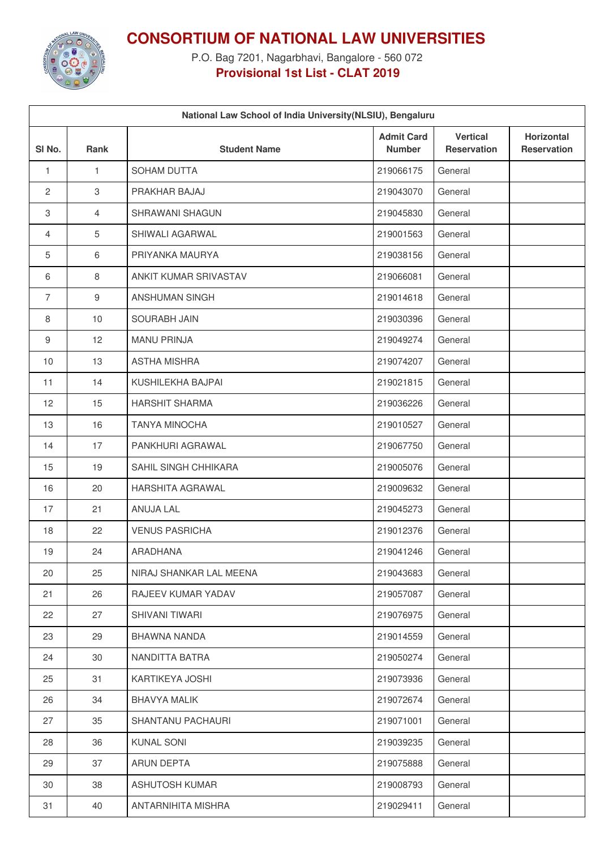

**CONSORTIUM OF NATIONAL LAW UNIVERSITIES**

P.O. Bag 7201, Nagarbhavi, Bangalore - 560 072 **Provisional 1st List - CLAT 2019**

| National Law School of India University (NLSIU), Bengaluru |                |                         |                                    |                                       |                                  |  |  |  |  |
|------------------------------------------------------------|----------------|-------------------------|------------------------------------|---------------------------------------|----------------------------------|--|--|--|--|
| SI <sub>No.</sub>                                          | Rank           | <b>Student Name</b>     | <b>Admit Card</b><br><b>Number</b> | <b>Vertical</b><br><b>Reservation</b> | Horizontal<br><b>Reservation</b> |  |  |  |  |
| $\mathbf{1}$                                               | $\mathbf{1}$   | SOHAM DUTTA             | 219066175                          | General                               |                                  |  |  |  |  |
| $\overline{2}$                                             | 3              | PRAKHAR BAJAJ           | 219043070                          | General                               |                                  |  |  |  |  |
| 3                                                          | $\overline{4}$ | SHRAWANI SHAGUN         | 219045830                          | General                               |                                  |  |  |  |  |
| 4                                                          | 5              | SHIWALI AGARWAL         | 219001563                          | General                               |                                  |  |  |  |  |
| 5                                                          | $6\,$          | PRIYANKA MAURYA         | 219038156                          | General                               |                                  |  |  |  |  |
| 6                                                          | $\,8\,$        | ANKIT KUMAR SRIVASTAV   | 219066081                          | General                               |                                  |  |  |  |  |
| $\overline{7}$                                             | $9\,$          | ANSHUMAN SINGH          | 219014618                          | General                               |                                  |  |  |  |  |
| 8                                                          | 10             | <b>SOURABH JAIN</b>     | 219030396                          | General                               |                                  |  |  |  |  |
| 9                                                          | 12             | <b>MANU PRINJA</b>      | 219049274                          | General                               |                                  |  |  |  |  |
| 10                                                         | 13             | <b>ASTHA MISHRA</b>     | 219074207                          | General                               |                                  |  |  |  |  |
| 11                                                         | 14             | KUSHILEKHA BAJPAI       | 219021815                          | General                               |                                  |  |  |  |  |
| 12                                                         | 15             | <b>HARSHIT SHARMA</b>   | 219036226                          | General                               |                                  |  |  |  |  |
| 13                                                         | 16             | <b>TANYA MINOCHA</b>    | 219010527                          | General                               |                                  |  |  |  |  |
| 14                                                         | 17             | PANKHURI AGRAWAL        | 219067750                          | General                               |                                  |  |  |  |  |
| 15                                                         | 19             | SAHIL SINGH CHHIKARA    | 219005076                          | General                               |                                  |  |  |  |  |
| 16                                                         | 20             | HARSHITA AGRAWAL        | 219009632                          | General                               |                                  |  |  |  |  |
| 17                                                         | 21             | ANUJA LAL               | 219045273                          | General                               |                                  |  |  |  |  |
| 18                                                         | 22             | <b>VENUS PASRICHA</b>   | 219012376                          | General                               |                                  |  |  |  |  |
| 19                                                         | 24             | <b>ARADHANA</b>         | 219041246                          | General                               |                                  |  |  |  |  |
| 20                                                         | 25             | NIRAJ SHANKAR LAL MEENA | 219043683                          | General                               |                                  |  |  |  |  |
| 21                                                         | 26             | RAJEEV KUMAR YADAV      | 219057087                          | General                               |                                  |  |  |  |  |
| 22                                                         | 27             | SHIVANI TIWARI          | 219076975                          | General                               |                                  |  |  |  |  |
| 23                                                         | 29             | BHAWNA NANDA            | 219014559                          | General                               |                                  |  |  |  |  |
| 24                                                         | 30             | NANDITTA BATRA          | 219050274                          | General                               |                                  |  |  |  |  |
| 25                                                         | 31             | KARTIKEYA JOSHI         | 219073936                          | General                               |                                  |  |  |  |  |
| 26                                                         | 34             | <b>BHAVYA MALIK</b>     | 219072674                          | General                               |                                  |  |  |  |  |
| 27                                                         | 35             | SHANTANU PACHAURI       | 219071001                          | General                               |                                  |  |  |  |  |
| 28                                                         | 36             | <b>KUNAL SONI</b>       | 219039235                          | General                               |                                  |  |  |  |  |
| 29                                                         | 37             | ARUN DEPTA              | 219075888                          | General                               |                                  |  |  |  |  |
| 30                                                         | 38             | <b>ASHUTOSH KUMAR</b>   | 219008793                          | General                               |                                  |  |  |  |  |
| 31                                                         | 40             | ANTARNIHITA MISHRA      | 219029411                          | General                               |                                  |  |  |  |  |